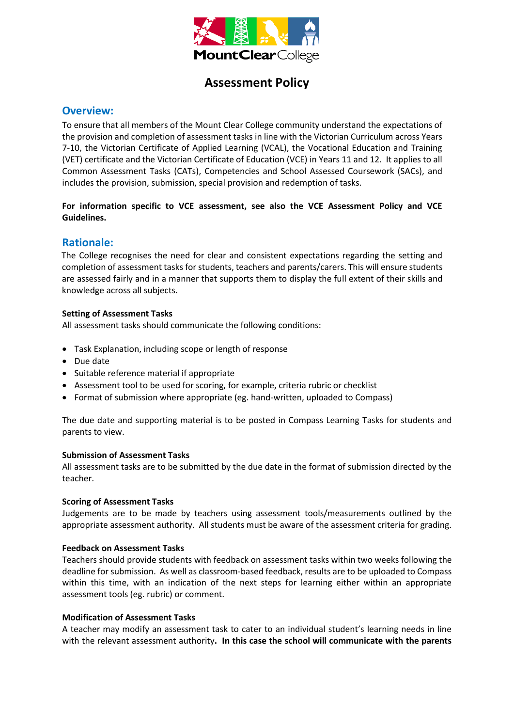

# **Assessment Policy**

# **Overview:**

To ensure that all members of the Mount Clear College community understand the expectations of the provision and completion of assessment tasks in line with the Victorian Curriculum across Years 7-10, the Victorian Certificate of Applied Learning (VCAL), the Vocational Education and Training (VET) certificate and the Victorian Certificate of Education (VCE) in Years 11 and 12. It applies to all Common Assessment Tasks (CATs), Competencies and School Assessed Coursework (SACs), and includes the provision, submission, special provision and redemption of tasks.

## **For information specific to VCE assessment, see also the VCE Assessment Policy and VCE Guidelines.**

# **Rationale:**

The College recognises the need for clear and consistent expectations regarding the setting and completion of assessment tasks for students, teachers and parents/carers. This will ensure students are assessed fairly and in a manner that supports them to display the full extent of their skills and knowledge across all subjects.

## **Setting of Assessment Tasks**

All assessment tasks should communicate the following conditions:

- Task Explanation, including scope or length of response
- Due date
- Suitable reference material if appropriate
- Assessment tool to be used for scoring, for example, criteria rubric or checklist
- Format of submission where appropriate (eg. hand-written, uploaded to Compass)

The due date and supporting material is to be posted in Compass Learning Tasks for students and parents to view.

## **Submission of Assessment Tasks**

All assessment tasks are to be submitted by the due date in the format of submission directed by the teacher.

#### **Scoring of Assessment Tasks**

Judgements are to be made by teachers using assessment tools/measurements outlined by the appropriate assessment authority. All students must be aware of the assessment criteria for grading.

## **Feedback on Assessment Tasks**

Teachers should provide students with feedback on assessment tasks within two weeks following the deadline for submission. As well as classroom-based feedback, results are to be uploaded to Compass within this time, with an indication of the next steps for learning either within an appropriate assessment tools (eg. rubric) or comment.

## **Modification of Assessment Tasks**

A teacher may modify an assessment task to cater to an individual student's learning needs in line with the relevant assessment authority**. In this case the school will communicate with the parents**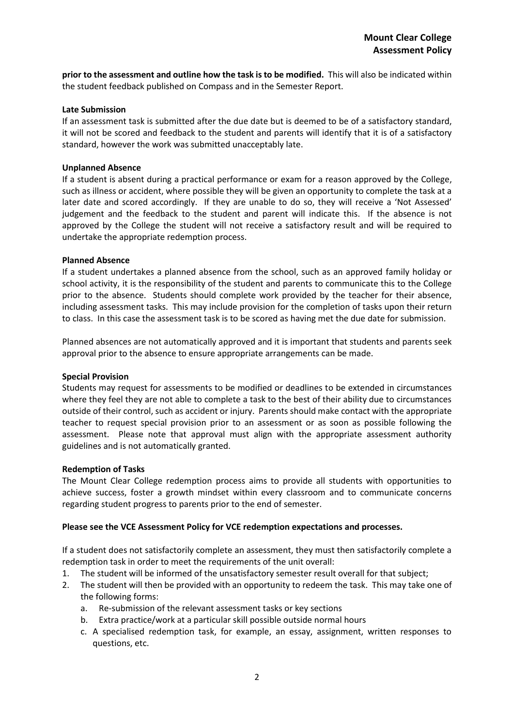**prior to the assessment and outline how the task is to be modified.** This will also be indicated within the student feedback published on Compass and in the Semester Report.

#### **Late Submission**

If an assessment task is submitted after the due date but is deemed to be of a satisfactory standard, it will not be scored and feedback to the student and parents will identify that it is of a satisfactory standard, however the work was submitted unacceptably late.

#### **Unplanned Absence**

If a student is absent during a practical performance or exam for a reason approved by the College, such as illness or accident, where possible they will be given an opportunity to complete the task at a later date and scored accordingly. If they are unable to do so, they will receive a 'Not Assessed' judgement and the feedback to the student and parent will indicate this. If the absence is not approved by the College the student will not receive a satisfactory result and will be required to undertake the appropriate redemption process.

#### **Planned Absence**

If a student undertakes a planned absence from the school, such as an approved family holiday or school activity, it is the responsibility of the student and parents to communicate this to the College prior to the absence. Students should complete work provided by the teacher for their absence, including assessment tasks. This may include provision for the completion of tasks upon their return to class. In this case the assessment task is to be scored as having met the due date for submission.

Planned absences are not automatically approved and it is important that students and parents seek approval prior to the absence to ensure appropriate arrangements can be made.

#### **Special Provision**

Students may request for assessments to be modified or deadlines to be extended in circumstances where they feel they are not able to complete a task to the best of their ability due to circumstances outside of their control, such as accident or injury. Parents should make contact with the appropriate teacher to request special provision prior to an assessment or as soon as possible following the assessment. Please note that approval must align with the appropriate assessment authority guidelines and is not automatically granted.

#### **Redemption of Tasks**

The Mount Clear College redemption process aims to provide all students with opportunities to achieve success, foster a growth mindset within every classroom and to communicate concerns regarding student progress to parents prior to the end of semester.

## **Please see the VCE Assessment Policy for VCE redemption expectations and processes.**

If a student does not satisfactorily complete an assessment, they must then satisfactorily complete a redemption task in order to meet the requirements of the unit overall:

- 1. The student will be informed of the unsatisfactory semester result overall for that subject;
- 2. The student will then be provided with an opportunity to redeem the task. This may take one of the following forms:
	- a. Re-submission of the relevant assessment tasks or key sections
	- b. Extra practice/work at a particular skill possible outside normal hours
	- c. A specialised redemption task, for example, an essay, assignment, written responses to questions, etc.